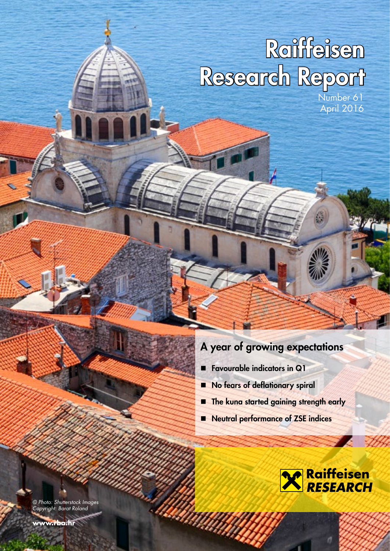# Raiffeisen Research Report

Number 61 April 2016

# A year of growing expectations

**Favourable indicators in Q1** 

U)

Willip

- No fears of deflationary spiral
- **The kuna started gaining strength early**
- Neutral performance of ZSE indices



© Photo: Shutterstock Images Copyright: Barat Roland

**www.rba.hr**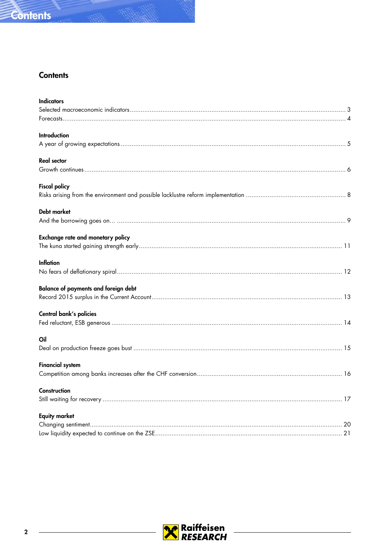

### **Contents**

| <b>Indicators</b>                           |  |
|---------------------------------------------|--|
|                                             |  |
|                                             |  |
| <b>Introduction</b>                         |  |
|                                             |  |
| <b>Real sector</b>                          |  |
|                                             |  |
| <b>Fiscal policy</b>                        |  |
|                                             |  |
| <b>Debt market</b>                          |  |
|                                             |  |
| Exchange rate and monetary policy           |  |
|                                             |  |
| <b>Inflation</b>                            |  |
|                                             |  |
| <b>Balance of payments and foreign debt</b> |  |
|                                             |  |
| Central bank's policies                     |  |
|                                             |  |
| Oil                                         |  |
|                                             |  |
| <b>Financial system</b>                     |  |
|                                             |  |
| Construction                                |  |
|                                             |  |
| <b>Equity market</b>                        |  |
|                                             |  |
|                                             |  |

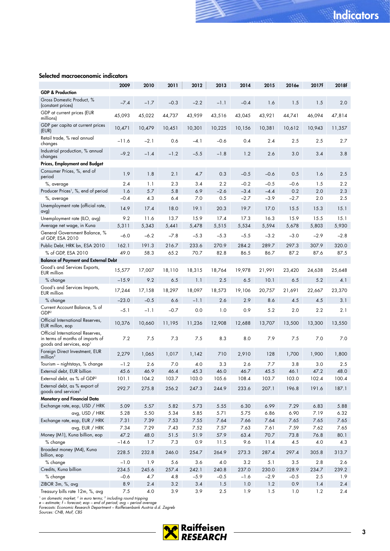### <span id="page-2-0"></span>Selected macroeconomic indicators

|                                                                                                              | 2009       | 2010         | 2011           | 2012       | 2013       | 2014       | 2015       | 2016e      | 2017f      | 2018f      |
|--------------------------------------------------------------------------------------------------------------|------------|--------------|----------------|------------|------------|------------|------------|------------|------------|------------|
| <b>GDP &amp; Production</b>                                                                                  |            |              |                |            |            |            |            |            |            |            |
| Gross Domestic Product, %<br>(constant prices)                                                               | $-7.4$     | $-1.7$       | $-0.3$         | $-2.2$     | $-1.1$     | $-0.4$     | 1.6        | 1.5        | 1.5        | 2.0        |
| GDP at current prices (EUR<br>millions)                                                                      | 45,093     | 45,022       | 44,737         | 43,959     | 43,516     | 43,045     | 43,921     | 44,741     | 46,094     | 47,814     |
| GDP per capita at current prices<br>(EUR)                                                                    | 10,471     | 10,479       | 10,451         | 10,301     | 10,225     | 10,156     | 10,381     | 10,612     | 10,943     | 11,357     |
| Retail trade, % real annual<br>changes                                                                       | $-11.6$    | $-2.1$       | 0.6            | -4.1       | $-0.6$     | 0.4        | 2.4        | 2.5        | 2.5        | 2.7        |
| Industrial production, % annual<br>changes                                                                   | $-9.2$     | $-1.4$       | $-1.2$         | $-5.5$     | $-1.8$     | 1.2        | 2.6        | 3.0        | 3.4        | 3.8        |
| Prices, Employment and Budget                                                                                |            |              |                |            |            |            |            |            |            |            |
| Consumer Prices, %, end of<br>period                                                                         | 1.9        | 1.8          | 2.1            | 4.7        | 0.3        | $-0.5$     | $-0.6$     | 0.5        | 1.6        | 2.5        |
| %, average                                                                                                   | 2.4        | 1.1          | 2.3            | 3.4        | 2.2        | $-0.2$     | $-0.5$     | $-0.6$     | 1.5        | 2.2        |
| Producer Prices <sup>1</sup> , %, end of period                                                              | 1.6        | 5.7          | 5.8            | 6.9        | $-2.6$     | $-3.4$     | $-4.4$     | 0.2        | 2.0        | 2.3        |
| %, average                                                                                                   | $-0.4$     | 4.3          | 6.4            | 7.0        | 0.5        | $-2.7$     | $-3.9$     | $-2.7$     | 2.0        | 2.5        |
| Unemployment rate (official rate,<br>avg)                                                                    | 14.9       | 17.4         | 18.0           | 19.1       | 20.3       | 19.7       | 17.0       | 15.5       | 15.3       | 15.1       |
| Unemployment rate (ILO, avg)                                                                                 | 9.2        | 11.6         | 13.7           | 15.9       | 17.4       | 17.3       | 16.3       | 15.9       | 15.5       | 15.1       |
| Average net wage, in Kuna                                                                                    | 5,311      | 5,343        | 5,441          | 5,478      | 5,515      | 5,534      | 5,594      | 5,678      | 5,803      | 5,930      |
| General Government Balance, %<br>of GDP, ESA 2010                                                            | $-6.0$     | $-6.2$       | $-7.8$         | $-5.3$     | $-5.3$     | $-5.5$     | $-3.2$     | $-3.0$     | $-2.9$     | $-2.8$     |
| Public Debt, HRK bn, ESA 2010                                                                                | 162.1      | 191.3        | 216.7          | 233.6      | 270.9      | 284.2      | 289.7      | 297.3      | 307.9      | 320.0      |
| % of GDP, ESA 2010                                                                                           | 49.0       | 58.3         | 65.2           | 70.7       | 82.8       | 86.5       | 86.7       | 87.2       | 87.6       | 87.5       |
| <b>Balance of Payment and External Debt</b>                                                                  |            |              |                |            |            |            |            |            |            |            |
| Good's and Services Exports,<br><b>EUR</b> million                                                           | 15,577     | 17,007       | 18,110         | 18,315     | 18,764     | 19,978     | 21,991     | 23,420     | 24,638     | 25,648     |
| % change                                                                                                     | $-15.9$    | 9.2          | 6.5            | 1.1        | 2.5        | 6.5        | 10.1       | 6.5        | 5.2        | 4.1        |
| Good's and Services Imports,<br><b>EUR</b> million                                                           | 17,244     | 17,158       | 18,297         | 18,097     | 18,573     | 19,106     | 20,757     | 21,691     | 22,667     | 23,370     |
| % change                                                                                                     | $-23.0$    | $-0.5$       | 6.6            | $-1.1$     | 2.6        | 2.9        | 8.6        | 4.5        | 4.5        | 3.1        |
| Current Account Balance, % of<br>GDP <sup>2</sup>                                                            | $-5.1$     | $-1.1$       | $-0.7$         | 0.0        | 1.0        | 0.9        | 5.2        | 2.0        | 2.2        | 2.1        |
| Official International Reserves,<br>EUR millon, eop                                                          | 10,376     | 10,660       | 11,195         | 11,236     | 12,908     | 12,688     | 13,707     | 13,500     | 13,300     | 13,550     |
| Official International Reserves,<br>in terms of months of imports of<br>goods and services, eop <sup>1</sup> | 7.2        | 7.5          | 7.3            | 7.5        | 8.3        | 8.0        | 7.9        | 7.5        | 7.0        | 7.0        |
| Foreign Direct Investment, EUR<br>$m$ illion <sup>3</sup>                                                    | 2,279      | 1,065        | 1,017          | 1,142      | 710        | 2,910      | 128        | 1,700      | 1,900      | 1,800      |
| Tourism - nightstays, % change                                                                               | $-1.2$     | 2.6          | 7.0            | 4.0        | 3.3        | 2.6        | 7.7        | 3.8        | 3.0        | 2.5        |
| External debt, EUR billion                                                                                   | 45.6       | 46.9         | 46.4           | 45.3       | 46.0       | 46.7       | 45.5       | 46.1       | 47.2       | 48.0       |
| External debt, as % of GDP <sup>2</sup>                                                                      | 101.1      | 104.2        | 103.7          | 103.0      | 105.6      | 108.4      | 103.7      | 103.0      | 102.4      | 100.4      |
| External debt, as % export of<br>goods and services <sup>2</sup>                                             | 292.7      | 275.8        | 256.2          | 247.3      | 244.9      | 233.6      | 207.1      | 196.8      | 191.6      | 187.1      |
| Monetary and Financial Data                                                                                  |            |              |                |            |            |            |            |            |            |            |
| Exchange rate, eop, USD / HRK                                                                                | 5.09       | 5.57         | 5.82           | 5.73       | 5.55       | 6.30       | 6.99       | 7.29       | 6.83       | 5.88       |
| avg, USD / HRK                                                                                               | 5.28       | 5.50         | 5.34           | 5.85       | 5.71       | 5.75       | 6.86       | 6.90       | 7.19       | 6.32       |
| Exchange rate, eop, EUR / HRK                                                                                | 7.31       | 7.39         | 7.53           | 7.55       | 7.64       | 7.66       | 7.64       | 7.65       | 7.65       | 7.65       |
| avg, EUR / HRK                                                                                               | 7.34       | 7.29         | 7.43           | 7.52       | 7.57       | 7.63       | 7.61       | 7.59       | 7.62       | 7.65       |
| Money (M1), Kuna billion, eop                                                                                | 47.2       | 48.0         | 51.5           | 51.9       | 57.9       | 63.4       | 70.7       | 73.8       | 76.8       | 80.1       |
| $%$ change                                                                                                   | $-14.6$    | 1.7          | 7.3            | 0.9        | 11.5       | 9.6        | 11.4       | 4.5        | 4.0        | 4.3        |
| Broadest money (M4), Kuna<br>billion, eop                                                                    | 228.5      | 232.8        | 246.0          | 254.7      | 264.9      | 273.3      | 287.4      | 297.4      | 305.8      | 313.7      |
| $%$ change                                                                                                   | $-1.0$     | 1.9          | 5.6            | 3.6        | 4.0        | 3.2        | 5.1        | 3.5        | 2.8        | 2.6        |
| Credits, Kuna billion                                                                                        | 234.5      | 245.6        | 257.4          | 242.1      | 240.8      | 237.0      | 230.0      | 228.9      | 234.7      | 239.2      |
| % change                                                                                                     | $-0.6$     | 4.7          | 4.8            | $-5.9$     | $-0.5$     | $-1.6$     | $-2.9$     | $-0.5$     | 2.5        | 1.9        |
| ZIBOR 3m, %, avg<br>Treasury bills rate 12m, %, avg                                                          | 8.9<br>7.5 | 2.4<br>$4.0$ | $3.2\,$<br>3.9 | 3.4<br>3.9 | 1.5<br>2.5 | 1.0<br>1.9 | 1.2<br>1.5 | 0.9<br>1.0 | 1.4<br>1.2 | 2.4<br>2.4 |
|                                                                                                              |            |              |                |            |            |            |            |            |            |            |

' on domestic market; <sup>2</sup> in euro terms; <sup>3</sup> including round tripping<br>e – estimate; f – forecast; eop – end of period; avg – period average<br>Forecasts: Economic Research Department – Raiffeisenbank Austria d.d. Zagreb<br>Sourc

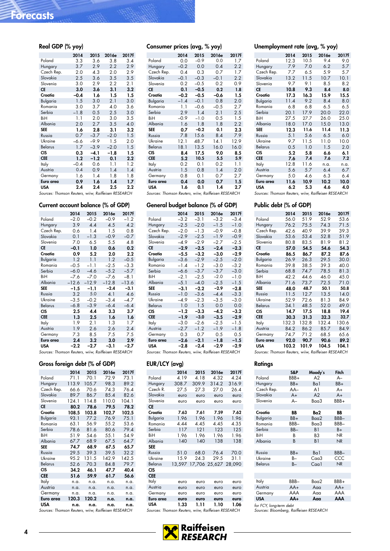| Real GDP (% yoy)                                    |        |        |        |       |
|-----------------------------------------------------|--------|--------|--------|-------|
|                                                     | 2014   | 2015   | 2016e  | 2017f |
| Poland                                              | 3.3    | 3.6    | 3.8    | 3.4   |
| Hungary                                             | 3.7    | 2.9    | 2.2    | 2.9   |
| Czech Rep.                                          | 2.0    | 4.3    | 2.0    | 2.9   |
| Slovakia                                            | 2.5    | 3.6    | 3.5    | 3.5   |
| Slovenia                                            | 3.0    | 2.9    | 2.2    | 2.1   |
| <b>CE</b>                                           | 3.0    | 3.6    | 3.1    | 3.2   |
| Croatia                                             | $-0.4$ | 1.6    | 1.5    | 1.5   |
| Bulgaria                                            | 1.5    | 3.0    | 2.1    | 3.0   |
| Romania                                             | 3.0    | 3.7    | 4.0    | 3.6   |
| Serbia                                              | $-1.8$ | 0.5    | 2.5    | 3.0   |
| BiH                                                 | 1.1    | 2.0    | 3.0    | 3.5   |
| Albania                                             | 2.0    | 2.7    | 3.5    | 4.0   |
| <b>SEE</b>                                          | 1.6    | 2.8    | 3.1    | 3.2   |
| Russia                                              | 0.7    | $-3.7$ | $-2.0$ | 1.5   |
| Ukraine                                             | 6.6    | $-9.9$ | 1.5    | 2.0   |
| Belarus                                             | 1.7    | $-3.9$ | $-2.0$ | 1.5   |
| <b>CIS</b>                                          | 0.3    | $-4.1$ | $-1.8$ | 1.5   |
| <b>CEE</b>                                          | 1.2    | $-1.2$ | 0.1    | 2.2   |
| Italy                                               | $-0.4$ | 0.6    | 1.1    | 1.2   |
| Austria                                             | 0.4    | 0.9    | 1.4    | 1.4   |
| Germany                                             | 1.6    | 1.4    | 1.8    | 1.8   |
| Euro area                                           | 0.9    | 1.6    | 1.4    | 1.7   |
| USA                                                 | 2.4    | 2.4    | 2.5    | 2.2   |
| Sources: Thomson Reuters, wiiw, Raiffeisen RESEARCH |        |        |        |       |

### Current account balance (% of GDP)

|                | 2014    | 2015    | 2016e   | 2017f   |
|----------------|---------|---------|---------|---------|
| Poland         | $-2.0$  | $-0.2$  | $-0.9$  | $-1.2$  |
| Hungary        | 3.9     | 4.4     | 4.5     | 4.2     |
| Czech Rep.     | 0.6     | 1.4     | 1.5     | 0.8     |
| Slovakia       | 0.1     | $-1.3$  | $-0.9$  | $-0.7$  |
| Slovenia       | 7.0     | 6.5     | 5.5     | 4.8     |
| <b>CE</b>      | $-0.1$  | 1.0     | 0.6     | 0.2     |
| Croatia        | 0.9     | 5.2     | 2.0     | 2.2     |
| Bulgaria       | 1.2     | 1.1     | 1.2     | $-0.5$  |
| Romania        | $-0.5$  | $-1.1$  | $-2.5$  | $-3.3$  |
| Serbia         | $-6.0$  | $-4.6$  | $-5.2$  | $-5.7$  |
| BiH            | $-7.6$  | $-7.0$  | $-7.6$  | $-8.1$  |
| Albania        | $-12.6$ | $-12.9$ | $-12.8$ | $-13.6$ |
| <b>SEE</b>     | $-1.5$  | -1.1    | $-2.4$  | $-3.1$  |
| Russia         | 3.2     | 5.0     | 4.1     | 4.6     |
| Ukraine        | $-3.5$  | $-0.2$  | $-3.4$  | -4.7    |
| <b>Belarus</b> | $-6.8$  | $-3.9$  | $-6.4$  | $-6.4$  |
| <b>CIS</b>     | 2.5     | 4.4     | 3.3     | 3.7     |
| <b>CEE</b>     | 1.3     | 2.5     | 1.6     | 1.6     |
| Italy          | 1.9     | 2.1     | 1.3     | 1.7     |
| Austria        | 1.9     | 2.6     | 2.6     | 2.4     |
| Germany        | 7.3     | 8.5     | 7.5     | 7.5     |
| Euro area      | 2.4     | 3.2     | 3.0     | 2.9     |
| <b>USA</b>     | $-2.2$  | $-2.7$  | $-3.1$  | $-2.7$  |

Sources: Thomson Reuters, wiiw, Raiffeisen RESEARCH

### Gross foreign debt (% of GDP)

|                                                     | 2014  | 2015  | 2016e | 2017f |  |  |  |
|-----------------------------------------------------|-------|-------|-------|-------|--|--|--|
| Poland                                              | 71.1  | 70.1  | 72.9  | 73.1  |  |  |  |
| Hungary                                             | 113.9 | 105.7 | 98.3  | 89.2  |  |  |  |
| Czech Rep.                                          | 66.6  | 70.6  | 74.3  | 76.4  |  |  |  |
| Slovakia                                            | 89.7  | 86.7  | 85.4  | 82.6  |  |  |  |
| Slovenia                                            | 124.1 | 114.8 | 110.0 | 104.1 |  |  |  |
| CE                                                  | 80.2  | 78.6  | 79.5  | 78.2  |  |  |  |
| Croatia                                             | 108.5 | 103.8 | 102.7 | 102.5 |  |  |  |
| Bulgaria                                            | 93.1  | 77.2  | 76.9  | 75.1  |  |  |  |
| Romania                                             | 63.1  | 56.9  | 55.2  | 53.6  |  |  |  |
| Serbia                                              | 78.6  | 81.6  | 80.6  | 79.4  |  |  |  |
| BiH                                                 | 51.9  | 54.6  | 55.1  | 54.9  |  |  |  |
| Albania                                             | 67.7  | 68.9  | 67.5  | 64.7  |  |  |  |
| <b>SEE</b>                                          | 74.7  | 68.9  | 67.5  | 65.7  |  |  |  |
| Russia                                              | 29.5  | 39.3  | 39.5  | 32.2  |  |  |  |
| Ukraine                                             | 95.2  | 131.5 | 142.9 | 142.5 |  |  |  |
| <b>Belarus</b>                                      | 52.6  | 70.3  | 84.8  | 79.7  |  |  |  |
| CIS                                                 | 34.2  | 46.1  | 47.7  | 40.4  |  |  |  |
| <b>CEE</b>                                          | 51.6  | 59.9  | 61.7  | 56.6  |  |  |  |
| Italy                                               | n.a.  | n.a.  | n.a.  | n.a.  |  |  |  |
| Austria                                             | n.a.  | n.a.  | n.a.  | n.a.  |  |  |  |
| Germany                                             | n.a.  | n.a.  | n.a.  | n.a.  |  |  |  |
| Euro area                                           | 120.3 | 120.2 | n.a.  | n.a.  |  |  |  |
| USA                                                 | n.a.  | n.a.  | n.a.  | n.a.  |  |  |  |
| Sources: Thomson Reuters, wiiw, Raiffeisen RESEARCH |       |       |       |       |  |  |  |

| Consumer prices (avg, % yoy) |        |        |        |       |
|------------------------------|--------|--------|--------|-------|
|                              | 2014   | 2015   | 2016e  | 2017f |
| Poland                       | 0.0    | $-0.9$ | 0.0    | 1.7   |
| Hungary                      | $-0.2$ | 0.0    | 0.4    | 2.2   |
| Czech Rep.                   | 0.4    | 0.3    | 0.7    | 1.7   |
| Slovakia                     | $-0.1$ | $-0.3$ | $-0.1$ | 2.2   |
| Slovenia                     | 0.2    | $-0.5$ | 0.2    | 0.9   |
| <b>CE</b>                    | 0.1    | $-0.5$ | 0.2    | 1.8   |
| Croatia                      | $-0.2$ | $-0.5$ | $-0.6$ | 1.5   |
| Bulgaria                     | $-1.4$ | $-0.1$ | 0.8    | 2.0   |
| Romania                      | 1.1    | $-0.6$ | $-0.5$ | 2.7   |
| Serbia                       | 2.9    | 1.4    | 2.1    | 2.5   |
| BiH                          | $-0.9$ | $-1.0$ | 0.5    | 1.5   |
| Albania                      | 1.6    | 1.8    | 1.8    | 2.2   |
| <b>SEE</b>                   | 0.7    | $-0.2$ | 0.1    | 2.3   |
| Russia                       | 7.8    | 15.6   | 8.4    | 7.9   |
| Ukraine                      | 12.1   | 48.7   | 14.1   | 12.9  |
| Belarus                      | 18.1   | 13.5   | 16.0   | 16.0  |
| <b>CIS</b>                   | 8.4    | 17.5   | 9.0    | 8.5   |
| <b>CEE</b>                   | 5.2    | 10.5   | 5.5    | 5.9   |
| Italy                        | 0.2    | 0.1    | 0.2    | 1.1   |
| Austria                      | 1.5    | 0.8    | 1.4    | 2.0   |
| Germany                      | 0.8    | 0.1    | 0.7    | 2.7   |
| Euro area                    | 0.4    | 0.0    | 0.7    | 1.5   |
| USA                          | 1.6    | 0.1    | 1.4    | 2.7   |

### General budget balance (% of GDP)

|                | 2014   | 2015   | 2016e  | 2017f  |
|----------------|--------|--------|--------|--------|
| Poland         | $-3.2$ | $-3.1$ | $-3.2$ | $-3.4$ |
| Hungary        | $-2.5$ | $-2.0$ | $-1.5$ | $-1.0$ |
| Czech Rep.     | $-2.0$ | $-1.3$ | $-0.9$ | $-0.8$ |
| Slovakia       | $-2.9$ | $-2.5$ | $-1.9$ | $-0.9$ |
| Slovenia       | $-4.9$ | -2.9   | $-2.7$ | $-2.5$ |
| СE             | $-2.9$ | $-2.5$ | $-2.4$ | $-2.3$ |
| Croatia        | $-5.5$ | $-3.2$ | $-3.0$ | $-2.9$ |
| Bulgaria       | -3.6   | $-2.9$ | $-2.5$ | $-2.0$ |
| Romania        | $-1.4$ | $-1.2$ | $-3.0$ | $-3.2$ |
| Serbia         | -6.6   | $-3.7$ | $-3.7$ | $-3.0$ |
| BiH            | $-2.1$ | $-2.5$ | $-2.0$ | $-1.0$ |
| Albania        | $-5.1$ | $-4.0$ | $-2.5$ | $-1.5$ |
| <b>SEE</b>     | $-3.1$ | $-2.2$ | $-2.9$ | $-2.8$ |
| Russia         | $-1.0$ | $-3.6$ | $-4.4$ | $-3.3$ |
| Ukraine        | $-4.9$ | $-2.3$ | $-3.5$ | $-3.0$ |
| <b>Belarus</b> | 1.0    | 1.5    | 0.0    | 0.0    |
| <b>CIS</b>     | $-1.2$ | $-3.3$ | $-4.2$ | $-3.2$ |
| <b>CEE</b>     | $-1.9$ | $-3.0$ | $-3.5$ | $-2.9$ |
| Italy          | $-3.0$ | $-2.6$ | $-2.5$ | $-1.5$ |
| Austria        | $-2.7$ | $-1.2$ | $-1.9$ | $-1.8$ |
| Germany        | 0.3    | 0.7    | 0.5    | 0.5    |
| Euro area      | $-2.6$ | $-2.1$ | $-1.8$ | -1.5   |
| <b>USA</b>     | -2.8   | $-2.4$ | $-2.9$ | -2.9   |

Sources: Thomson Reuters, wiiw, Raiffeisen RESEARCH

### EUR/LCY (avg)

|                                                     | 2014   | 2015  | 2016e                | 2017f |
|-----------------------------------------------------|--------|-------|----------------------|-------|
| Poland                                              | 4.19   | 4.18  | 4.32                 | 4.24  |
| Hungary                                             | 308.7  | 309.9 | 314.2                | 316.9 |
| Czech R.                                            | 27.5   | 27.3  | 27.0                 | 26.4  |
| Slovakia                                            | euro   | euro  | euro                 | euro  |
| Slovenia                                            | euro   | euro  | euro                 | euro  |
| <b>CE</b>                                           |        |       |                      |       |
| Croatia                                             | 7.63   | 7.61  | 7.59                 | 7.62  |
| Bulgaria                                            | 1.96   | 1.96  | 1.96                 | 1.96  |
| Romania                                             | 4.44   | 4.45  | 4.45                 | 4.35  |
| Serbia                                              | 117    | 121   | 123                  | 125   |
| BiH                                                 | 1.96   | 1.96  | 1.96                 | 1.96  |
| Albania                                             | 140    | 140   | 138                  | 138   |
| <b>SEE</b>                                          |        |       |                      |       |
| Russia                                              | 51.0   | 68.0  | 76.4                 | 70.0  |
| Ukraine                                             | 15.9   | 24.3  | 29.5                 | 31.1  |
| <b>Belarus</b>                                      | 13,597 |       | 17,706 25,627 28,090 |       |
| CIS                                                 |        |       |                      |       |
| <b>CEE</b>                                          |        |       |                      |       |
| Italy                                               | euro   | euro  | euro                 | euro  |
| Austria                                             | euro   | euro  | euro                 | euro  |
| Germany                                             | euro   | euro  | euro                 | euro  |
| Euro area                                           | euro   | euro  | euro                 | euro  |
| USA                                                 | 1.33   | 1.11  | 1.10                 | 1.06  |
| Sources: Thomson Reuters, wiiw, Raiffeisen RESEARCH |        |       |                      |       |

### Unemployment rate (avg, % yoy)

|                | 2014 | 2015 | 2016e | 2017f |
|----------------|------|------|-------|-------|
| Poland         | 12.3 | 10.5 | 9.4   | 9.0   |
| Hungary        | 7.9  | 7.0  | 6.2   | 5.7   |
| Czech Rep.     | 7.7  | 6.5  | 5.9   | 5.7   |
| Slovakia       | 13.2 | 11.5 | 10.7  | 10.1  |
| Slovenia       | 9.7  | 9.1  | 8.5   | 8.2   |
| CE             | 10.8 | 9.3  | 8.4   | 8.0   |
| Croatia        | 17.3 | 16.3 | 15.9  | 15.5  |
| Bulgaria       | 11.4 | 9.2  | 8.4   | 8.0   |
| Romania        | 6.8  | 6.8  | 6.5   | 6.5   |
| Serbia         | 20.1 | 17.9 | 20.0  | 22.0  |
| BiH            | 27.5 | 27.7 | 26.0  | 25.0  |
| Albania        | 18.0 | 17.0 | 15.0  | 13.0  |
| <b>SEE</b>     | 12.3 | 11.6 | 11.4  | 11.3  |
| Russia         | 5.1  | 5.6  | 6.5   | 6.0   |
| Ukraine        | 9.7  | 11.5 | 11.0  | 10.0  |
| <b>Belarus</b> | 0.5  | 1.0  | 1.5   | 2.0   |
| <b>CIS</b>     | 5.2  | 5.8  | 6.6   | 6.1   |
| <b>CEE</b>     | 7.6  | 7.4  | 7.6   | 7.2   |
| Italy          | 12.8 | 11.6 | n.a.  | n.a.  |
| Austria        | 5.6  | 5.7  | 6.4   | 6.7   |
| Germany        | 5.0  | 4.6  | 6.3   | 6.4   |
| Euro area      | 11.6 | 10.9 | 10.2  | 10.0  |
| USA            | 6.2  | 5.3  | 4.6   | 4.0   |

Sources: Thomson Reuters, wiiw, Raiffeisen RESEARCH

### Public debt (% of GDP)

|                | 2014  | 2015  | 2016e | 2017f |
|----------------|-------|-------|-------|-------|
| Poland         | 56.0  | 51.9  | 52.9  | 53.6  |
| Hungary        | 76.2  | 75.5  | 74.3  | 71.5  |
| Czech Rep.     | 42.6  | 40.9  | 39.9  | 39.3  |
| Slovakia       | 53.6  | 53.4  | 52.8  | 51.9  |
| Slovenia       | 80.8  | 83.5  | 81.9  | 81.2  |
| CE             | 57.0  | 54.5  | 54.6  | 54.3  |
| Croatia        | 86.5  | 86.7  | 87.2  | 87.6  |
| Bulgaria       | 26.9  | 26.3  | 29.5  | 30.0  |
| Romania        | 39.8  | 38.5  | 39.3  | 40.0  |
| Serbia         | 68.8  | 74.7  | 78.5  | 81.3  |
| BiH            | 42.2  | 44.6  | 46.0  | 45.0  |
| Albania        | 71.6  | 73.7  | 72.5  | 71.0  |
| <b>SEE</b>     | 48.0  | 48.7  | 50.1  | 50.8  |
| Russia         | 11.5  | 12.7  | 13.5  | 14.0  |
| Ukraine        | 52.9  | 72.6  | 81.3  | 84.9  |
| <b>Belarus</b> | 34.1  | 48.5  | 52.0  | 49.0  |
| CIS            | 14.7  | 17.5  | 18.8  | 19.4  |
| <b>CEE</b>     | 30.3  | 31.3  | 32.3  | 32.7  |
| Italy          | 132.3 | 132.8 | 132.4 | 130.6 |
| Austria        | 84.2  | 86.2  | 85.7  | 84.9  |
| Germany        | 74.7  | 71.2  | 68.5  | 65.6  |
| Euro area      | 92.0  | 90.7  | 90.6  | 89.2  |
| USA            | 103.2 | 101.9 | 104.5 | 104.1 |

Sources: Thomson Reuters, wiiw, Raiffeisen RESEARCH

### **Ratings**

|                        | S&P   | Moody's          | Fitch     |  |  |  |  |
|------------------------|-------|------------------|-----------|--|--|--|--|
| Poland                 | BBB+  | A2               | $A-$      |  |  |  |  |
| Hungary                | BB+   | Ba1              | BB+       |  |  |  |  |
| Czech Rep.             | AA-   | A1               | $A+$      |  |  |  |  |
| Slovakia               | $A+$  | A2               | A+        |  |  |  |  |
| Slovenia               | $A -$ | Baa3             | BBB+      |  |  |  |  |
|                        |       |                  |           |  |  |  |  |
| Croatia                | BB    | Ba2              | BB        |  |  |  |  |
| Bulgaria               | BB+   | Baa2             | BBB-      |  |  |  |  |
| Romania                | BBB-  | Baa3             | BBB-      |  |  |  |  |
| Serbia                 | BB-   | B1               | B+        |  |  |  |  |
| BiH                    | В     | BЗ               | <b>NR</b> |  |  |  |  |
| Albania                | B     | B1               | <b>NR</b> |  |  |  |  |
|                        |       |                  |           |  |  |  |  |
| Russia                 | BB+   | Ba1              | BBB-      |  |  |  |  |
| Ukraine                | B-    | Caa <sub>3</sub> | CCC       |  |  |  |  |
| <b>Belarus</b>         | $B -$ | C <sub>q</sub>   | <b>NR</b> |  |  |  |  |
|                        |       |                  |           |  |  |  |  |
|                        |       |                  |           |  |  |  |  |
| Italy                  | BBB-  | Baa2             | BBB+      |  |  |  |  |
| Austria                | $AA+$ | Aaa              | $AA+$     |  |  |  |  |
| Germany                | AAA   | Aaa              | AAA       |  |  |  |  |
| <b>USA</b>             | $AA+$ | Aaa              | ΑΑΑ       |  |  |  |  |
| far ECV lang tarm daht |       |                  |           |  |  |  |  |

for FCY, long-term debt Sources: Bloomberg, Raiffeisen RESEARCH

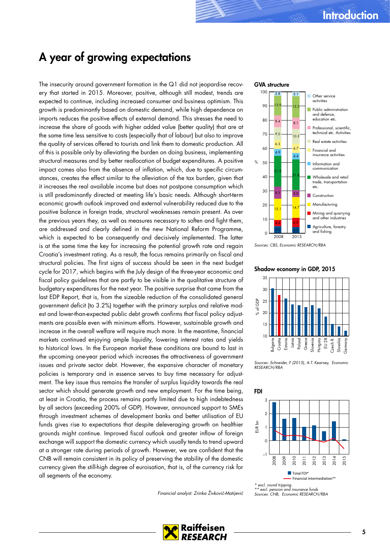# <span id="page-4-0"></span>A year of growing expectations

The insecurity around government formation in the Q1 did not jeopardise recovery that started in 2015. Moreover, positive, although still modest, trends are expected to continue, including increased consumer and business optimism. This growth is predominantly based on domestic demand, while high dependence on imports reduces the positive effects of external demand. This stresses the need to increase the share of goods with higher added value (better quality) that are at the same time less sensitive to costs (especially that of labour) but also to improve the quality of services offered to tourists and link them to domestic production. All of this is possible only by alleviating the burden on doing business, implementing structural measures and by better reallocation of budget expenditures. A positive impact comes also from the absence of inflation, which, due to specific circumstances, creates the effect similar to the alleviation of the tax burden, given that it increases the real available income but does not postpone consumption which is still predominantly directed at meeting life's basic needs. Although short-term economic growth outlook improved and external vulnerability reduced due to the positive balance in foreign trade, structural weaknesses remain present. As over the previous years they, as well as measures necessary to soften and fight them, are addressed and clearly defined in the new National Reform Programme, which is expected to be consequently and decisively implemented. The latter is at the same time the key for increasing the potential growth rate and regain Croatia's investment rating. As a result, the focus remains primarily on fiscal and structural policies. The first signs of success should be seen in the next budget cycle for 2017, which begins with the July design of the three-year economic and fiscal policy guidelines that are partly to be visible in the qualitative structure of budgetary expenditures for the next year. The positive surprise that came from the last EDP Report, that is, from the sizeable reduction of the consolidated general government deficit (to 3.2%) together with the primary surplus and relative modest and lower-than-expected public debt growth confirms that fiscal policy adjustments are possible even with minimum efforts. However, sustainable growth and increase in the overall welfare will require much more. In the meantime, financial markets continued enjoying ample liquidity, lowering interest rates and yields to historical lows. In the European market these conditions are bound to last in the upcoming one-year period which increases the attractiveness of government issues and private sector debt. However, the expansive character of monetary policies is temporary and in essence serves to buy time necessary for adjustment. The key issue thus remains the transfer of surplus liquidity towards the real sector which should generate growth and new employment. For the time being, at least in Croatia, the process remains partly limited due to high indebtedness by all sectors (exceeding 200% of GDP). However, announced support to SMEs through investment schemes of development banks and better utilisation of EU funds gives rise to expectations that despite deleveraging growth on healthier grounds might continue. Improved fiscal outlook and greater inflow of foreign exchange will support the domestic currency which usually tends to trend upward at a stronger rate during periods of growth. However, we are confident that the CNB will remain consistent in its policy of preserving the stability of the domestic currency given the still-high degree of euroisation, that is, of the currency risk for all segments of the economy.

Financial analyst: Zrinka Živković-Matijević

### GVA structure



Sources: CBS, Economic RESEARCH/RBA

#### Shadow economy in GDP, 2015



Sources: Schneider, F (2015), A.T. Kearney, Economic RESEARCH/RBA



excl. round tripping

\*\* excl. pension and insurance funds Sources: CNB, Economic RESEARCH/RBA

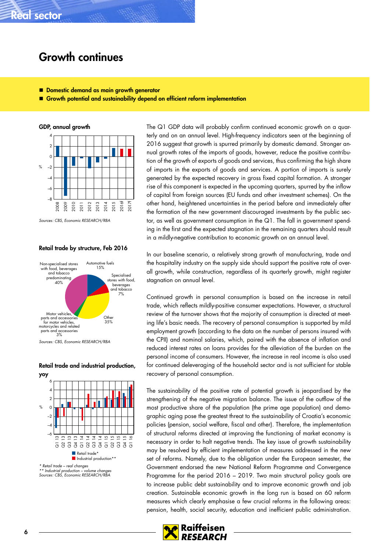### <span id="page-5-0"></span>Growth continues

- Domestic demand as main growth generator
- Growth potential and sustainability depend on efficient reform implementation



Sources: CBS, Economic RESEARCH/RBA

#### Retail trade by structure, Feb 2016



Sources: CBS, Economic RESEARCH/RBA



Retail trade and industrial production, yoy

The Q1 GDP data will probably confirm continued economic growth on a quarterly and on an annual level. High-frequency indicators seen at the beginning of 2016 suggest that growth is spurred primarily by domestic demand. Stronger annual growth rates of the imports of goods, however, reduce the positive contribution of the growth of exports of goods and services, thus confirming the high share of imports in the exports of goods and services. A portion of imports is surely generated by the expected recovery in gross fixed capital formation. A stronger rise of this component is expected in the upcoming quarters, spurred by the inflow of capital from foreign sources (EU funds and other investment schemes). On the other hand, heightened uncertainties in the period before and immediately after the formation of the new government discouraged investments by the public sector, as well as government consumption in the Q1. The fall in government spending in the first and the expected stagnation in the remaining quarters should result in a mildly-negative contribution to economic growth on an annual level.

In our baseline scenario, a relatively strong growth of manufacturing, trade and the hospitality industry on the supply side should support the positive rate of overall growth, while construction, regardless of its quarterly growth, might register stagnation on annual level.

Continued growth in personal consumption is based on the increase in retail trade, which reflects mildly-positive consumer expectations. However, a structural review of the turnover shows that the majority of consumption is directed at meeting life's basic needs. The recovery of personal consumption is supported by mild employment growth (according to the data on the number of persons insured with the CPII) and nominal salaries, which, paired with the absence of inflation and reduced interest rates on loans provides for the alleviation of the burden on the personal income of consumers. However, the increase in real income is also used for continued deleveraging of the household sector and is not sufficient for stable recovery of personal consumption.

The sustainability of the positive rate of potential growth is jeopardised by the strengthening of the negative migration balance. The issue of the outflow of the most productive share of the population (the prime age population) and demographic aging pose the greatest threat to the sustainability of Croatia's economic policies (pension, social welfare, fiscal and other). Therefore, the implementation of structural reforms directed at improving the functioning of market economy is necessary in order to halt negative trends. The key issue of growth sustainability may be resolved by efficient implementation of measures addressed in the new set of reforms. Namely, due to the obligation under the European semester, the Government endorsed the new National Reform Programme and Convergence Programme for the period 2016 – 2019. Two main structural policy goals are to increase public debt sustainability and to improve economic growth and job creation. Sustainable economic growth in the long run is based on 60 reform measures which clearly emphasise a few crucial reforms in the following areas: pension, health, social security, education and inefficient public administration.

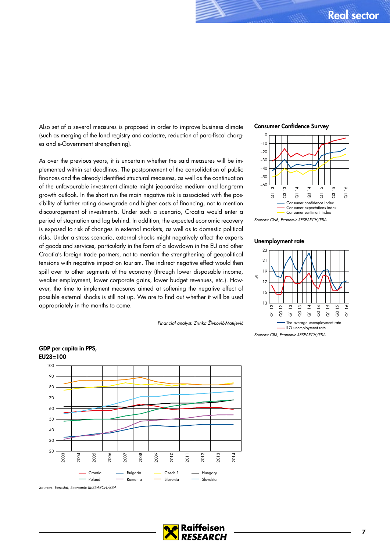Also set of a several measures is proposed in order to improve business climate (such as merging of the land registry and cadastre, reduction of para-fiscal charges and e-Government strengthening).

As over the previous years, it is uncertain whether the said measures will be implemented within set deadlines. The postponement of the consolidation of public finances and the already identified structural measures, as well as the continuation of the unfavourable investment climate might jeopardise medium- and long-term growth outlook. In the short run the main negative risk is associated with the possibility of further rating downgrade and higher costs of financing, not to mention discouragement of investments. Under such a scenario, Croatia would enter a period of stagnation and lag behind. In addition, the expected economic recovery is exposed to risk of changes in external markets, as well as to domestic political risks. Under a stress scenario, external shocks might negatively affect the exports of goods and services, particularly in the form of a slowdown in the EU and other Croatia's foreign trade partners, not to mention the strengthening of geopolitical tensions with negative impact on tourism. The indirect negative effect would then spill over to other segments of the economy (through lower disposable income, weaker employment, lower corporate gains, lower budget revenues, etc.). However, the time to implement measures aimed at softening the negative effect of possible external shocks is still not up. We are to find out whether it will be used appropriately in the months to come.

Financial analyst: Zrinka Živković-Matijević





Sources: CNB, Economic RESEARCH/RBA

### Unemployment rate





EU28=100

GDP per capita in PPS,

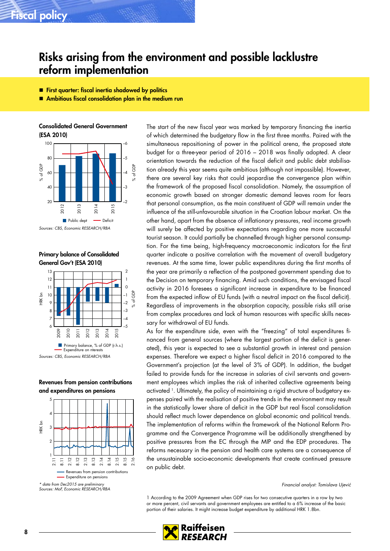### <span id="page-7-0"></span>Fiscal policy

### Risks arising from the environment and possible lacklustre reform implementation

- **First quarter: fiscal inertia shadowed by politics**
- Ambitious fiscal consolidation plan in the medium run

Consolidated General Government (ESA 2010)



Primary balance of Consolidated General Gov't (ESA 2010)



Revenues from pension contributions and expenditures on pensions



The start of the new fiscal year was marked by temporary financing the inertia of which determined the budgetary flow in the first three months. Paired with the simultaneous repositioning of power in the political arena, the proposed state budget for a three-year period of 2016 – 2018 was finally adopted. A clear orientation towards the reduction of the fiscal deficit and public debt stabilisation already this year seems quite ambitious (although not impossible). However, there are several key risks that could jeopardise the convergence plan within the framework of the proposed fiscal consolidation. Namely, the assumption of economic growth based on stronger domestic demand leaves room for fears that personal consumption, as the main constituent of GDP will remain under the influence of the still-unfavourable situation in the Croatian labour market. On the other hand, apart from the absence of inflationary pressures, real income growth will surely be affected by positive expectations regarding one more successful tourist season. It could partially be channelled through higher personal consumption. For the time being, high-frequency macroeconomic indicators for the first quarter indicate a positive correlation with the movement of overall budgetary revenues. At the same time, lower public expenditures during the first months of the year are primarily a reflection of the postponed government spending due to the Decision on temporary financing. Amid such conditions, the envisaged fiscal activity in 2016 foresees a significant increase in expenditure to be financed from the expected inflow of EU funds (with a neutral impact on the fiscal deficit). Regardless of improvements in the absorption capacity, possible risks still arise from complex procedures and lack of human resources with specific skills necessary for withdrawal of EU funds.

As for the expenditure side, even with the "freezing" of total expenditures financed from general sources (where the largest portion of the deficit is generated), this year is expected to see a substantial growth in interest and pension expenses. Therefore we expect a higher fiscal deficit in 2016 compared to the Government's projection (at the level of 3% of GDP). In addition, the budget failed to provide funds for the increase in salaries of civil servants and government employees which implies the risk of inherited collective agreements being activated <sup>1</sup>. Ultimately, the policy of maintaining a rigid structure of budgetary expenses paired with the realisation of positive trends in the environment may result in the statistically lower share of deficit in the GDP but real fiscal consolidation should reflect much lower dependence on global economic and political trends. The implementation of reforms within the framework of the National Reform Programme and the Convergence Programme will be additionally strengthened by positive pressures from the EC through the MIP and the EDP procedures. The reforms necessary in the pension and health care systems are a consequence of the unsustainable socio-economic developments that create continued pressure on public debt.

Financial analyst: Tomislava Ujević

1 According to the 2009 Agreement when GDP rises for two consecutive quarters in a row by two or more percent, civil servants and government employees are entitled to a 6% increase of the basic portion of their salaries. It might increase budget expenditure by additional HRK 1.8bn.

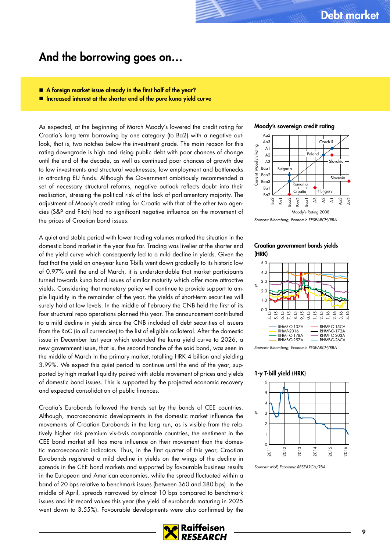### <span id="page-8-0"></span>And the borrowing goes on…

- A foreign market issue already in the first half of the year?
- Increased interest at the shorter end of the pure kuna yield curve

As expected, at the beginning of March Moody's lowered the credit rating for Croatia's long term borrowing by one category (to Ba2) with a negative outlook, that is, two notches below the investment grade. The main reason for this rating downgrade is high and rising public debt with poor chances of change until the end of the decade, as well as continued poor chances of growth due to low investments and structural weaknesses, low employment and bottlenecks in attracting EU funds. Although the Government ambitiously recommended a set of necessary structural reforms, negative outlook reflects doubt into their realisation, stressing the political risk of the lack of parliamentary majority. The adjustment of Moody's credit rating for Croatia with that of the other two agencies (S&P and Fitch) had no significant negative influence on the movement of the prices of Croatian bond issues.

A quiet and stable period with lower trading volumes marked the situation in the domestic bond market in the year thus far. Trading was livelier at the shorter end of the yield curve which consequently led to a mild decline in yields. Given the fact that the yield on one-year kuna T-bills went down gradually to its historic low of 0.97% until the end of March, it is understandable that market participants turned towards kuna bond issues of similar maturity which offer more attractive yields. Considering that monetary policy will continue to provide support to ample liquidity in the remainder of the year, the yields of short-term securities will surely hold at low levels. In the middle of February the CNB held the first of its four structural repo operations planned this year. The announcement contributed to a mild decline in yields since the CNB included all debt securities of issuers from the RoC (in all currencies) to the list of eligible collateral. After the domestic issue in December last year which extended the kuna yield curve to 2026, a new government issue, that is, the second tranche of the said bond, was seen in the middle of March in the primary market, totalling HRK 4 billion and yielding 3.99%. We expect this quiet period to continue until the end of the year, supported by high market liquidity paired with stable movement of prices and yields of domestic bond issues. This is supported by the projected economic recovery and expected consolidation of public finances.

Croatia's Eurobonds followed the trends set by the bonds of CEE countries. Although, macroeconomic developments in the domestic market influence the movements of Croatian Eurobonds in the long run, as is visible from the relatively higher risk premium vis-à-vis comparable countries, the sentiment in the CEE bond market still has more influence on their movement than the domestic macroeconomic indicators. Thus, in the first quarter of this year, Croatian Eurobonds registered a mild decline in yields on the wings of the decline in spreads in the CEE bond markets and supported by favourable business results in the European and American economies, while the spread fluctuated within a band of 20 bps relative to benchmark issues (between 360 and 380 bps). In the middle of April, spreads narrowed by almost 10 bps compared to benchmark issues and hit record values this year (the yield of eurobonds maturing in 2025 went down to 3.55%). Favourable developments were also confirmed by the





Sources: Bloomberg, Economic RESEARCH/RBA

### Croatian government bonds yields (HRK)



Sources: Bloomberg, Economic RESEARCH/RBA

1-y T-bill yield (HRK)



Sources: MoF, Economic RESEARCH/RBA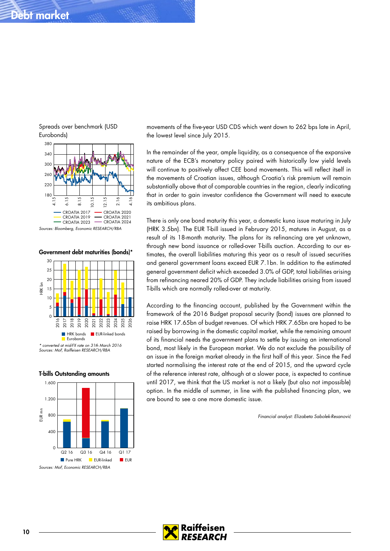# Debt market



Spreads over benchmark (USD

Government debt maturities (bonds)\*



\* converted at mid-FX rate on 31th March 2016 Sources: MoF, Raiffeisen RESEARCH/RBA

### T-bills Outstanding amounts



movements of the five-year USD CDS which went down to 262 bps late in April, the lowest level since July 2015.

In the remainder of the year, ample liquidity, as a consequence of the expansive nature of the ECB's monetary policy paired with historically low yield levels will continue to positively affect CEE bond movements. This will reflect itself in the movements of Croatian issues, although Croatia's risk premium will remain substantially above that of comparable countries in the region, clearly indicating that in order to gain investor confidence the Government will need to execute its ambitious plans.

There is only one bond maturity this year, a domestic kuna issue maturing in July (HRK 3.5bn). The EUR T-bill issued in February 2015, matures in August, as a result of its 18-month maturity. The plans for its refinancing are yet unknown, through new bond issuance or rolled-over T-bills auction. According to our estimates, the overall liabilities maturing this year as a result of issued securities and general government loans exceed EUR 7.1bn. In addition to the estimated general government deficit which exceeded 3.0% of GDP, total liabilities arising from refinancing neared 20% of GDP. They include liabilities arising from issued T-bills which are normally rolled-over at maturity.

According to the financing account, published by the Government within the framework of the 2016 Budget proposal security (bond) issues are planned to raise HRK 17.65bn of budget revenues. Of which HRK 7.65bn are hoped to be raised by borrowing in the domestic capital market, while the remaining amount of its financial needs the government plans to settle by issuing an international bond, most likely in the European market. We do not exclude the possibility of an issue in the foreign market already in the first half of this year. Since the Fed started normalising the interest rate at the end of 2015, and the upward cycle of the reference interest rate, although at a slower pace, is expected to continue until 2017, we think that the US market is not a likely (but also not impossible) option. In the middle of summer, in line with the published financing plan, we are bound to see a one more domestic issue.

Financial analyst: Elizabeta Sabolek-Resanović

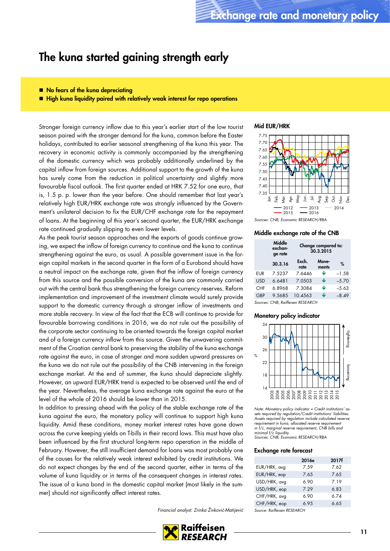### <span id="page-10-0"></span>The kuna started gaining strength early

- No fears of the kuna depreciating
- High kuna liquidity paired with relatively weak interest for repo operations

Stronger foreign currency inflow due to this year's earlier start of the low tourist season paired with the stronger demand for the kuna, common before the Easter holidays, contributed to earlier seasonal strengthening of the kuna this year. The recovery in economic activity is commonly accompanied by the strengthening of the domestic currency which was probably additionally underlined by the capital inflow from foreign sources. Additional support to the growth of the kuna has surely come from the reduction in political uncertainty and slightly more favourable fiscal outlook. The first quarter ended at HRK 7.52 for one euro, that is, 1.5 p. p. lower than the year before. One should remember that last year's relatively high EUR/HRK exchange rate was strongly influenced by the Government's unilateral decision to fix the EUR/CHF exchange rate for the repayment of loans. At the beginning of this year's second quarter, the EUR/HRK exchange rate continued gradually slipping to even lower levels.

As the peak tourist season approaches and the exports of goods continue growing, we expect the inflow of foreign currency to continue and the kuna to continue strengthening against the euro, as usual. A possible government issue in the foreign capital markets in the second quarter in the form of a Eurobond should have a neutral impact on the exchange rate, given that the inflow of foreign currency from this source and the possible conversion of the kuna are commonly carried out with the central bank thus strengthening the foreign currency reserves. Reform implementation and improvement of the investment climate would surely provide support to the domestic currency through a stronger inflow of investments and more stable recovery. In view of the fact that the ECB will continue to provide for favourable borrowing conditions in 2016, we do not rule out the possibility of the corporate sector continuing to be oriented towards the foreign capital market and of a foreign currency inflow from this source. Given the unwavering commitment of the Croatian central bank to preserving the stability of the kuna exchange rate against the euro, in case of stronger and more sudden upward pressures on the kuna we do not rule out the possibility of the CNB intervening in the foreign exchange market. At the end of summer, the kuna should depreciate slightly. However, an upward EUR/HRK trend is expected to be observed until the end of the year. Nevertheless, the average kuna exchange rate against the euro at the level of the whole of 2016 should be lower than in 2015.

In addition to pressing ahead with the policy of the stable exchange rate of the kuna against the euro, the monetary policy will continue to support high kuna liquidity. Amid these conditions, money market interest rates have gone down across the curve keeping yields on T-bills in their record lows. This must have also been influenced by the first structural long-term repo operation in the middle of February. However, the still insufficient demand for loans was most probably one of the causes for the relatively weak interest exhibited by credit institutions. We do not expect changes by the end of the second quarter, either in terms of the volume of kuna liquidity or in terms of the consequent changes in interest rates. The issue of a kuna bond in the domestic capital market (most likely in the summer) should not significantly affect interest rates.

Financial analyst: Zrinka Živković-Matijević



#### Mid EUR/HRK



### Middle exchange rate of the CNB

|            | Middle<br>exchan-<br>ge rate |               | Change compared to:<br>30.3.2015 |                |         |
|------------|------------------------------|---------------|----------------------------------|----------------|---------|
|            | 30.3.16                      | Exch.<br>rate |                                  | Move-<br>ments | %       |
| EUR        | 7.5237                       | 7.6446        |                                  | J              | $-1.58$ |
| <b>USD</b> | 66481                        | 7.0503        |                                  | Ψ              | $-5,70$ |
| <b>CHF</b> | 6.8968                       | 7.3084        |                                  | Ψ              | $-5.63$ |
| GBP        | 9.5685                       | 10.4563       |                                  | J              | $-8.49$ |
|            |                              |               |                                  |                |         |

#### Sources: CNB, Raiffeisen RESEARCH

#### Monetary policy indicator



Note: Monetary policy indicator = Credit institutions' assets required by regulation/Credit institutions' liabilities. Assets required by regulation include calculated reserve requirement in kuna, allocated reserve requirement in f/c, marginal reserve requirement, CNB bills and minimal f/c liquidity. Sources: CNB, Economic RESEARCH/RBA

### Exchange rate forecast

|              | 2016e | 2017f |
|--------------|-------|-------|
| EUR/HRK, avg | 7.59  | 7.62  |
| EUR/HRK, eop | 7.65  | 7.65  |
| USD/HRK, avg | 6.90  | 7.19  |
| USD/HRK, eop | 7.29  | 6.83  |
| CHF/HRK, avg | 6.90  | 6.74  |
| CHF/HRK, eop | 6.95  | 6.65  |
| .            |       |       |

Source: Raiffeisen RESEARCH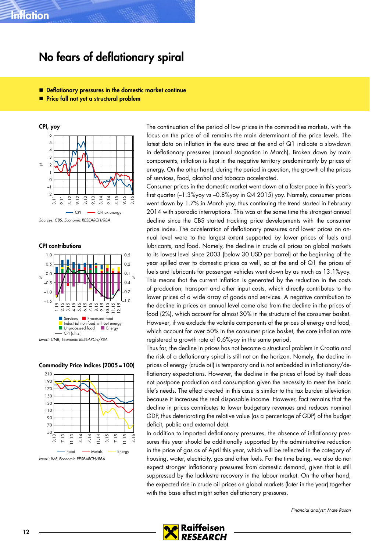### <span id="page-11-0"></span>No fears of deflationary spiral

- Deflationary pressures in the domestic market continue
- **Price fall not yet a structural problem**

CPI, yoy  $\frac{9}{6}$  $\sim$ –1 0 1 2 3 4 5 6  $\overline{3}$ . 9.11 3.12 9.12 3.13 9.13 3.14 9.14 3.15 9.15 3.16 CPI - CPI ex energy

CPI contributions



#### Commodity Price Indices (2005=100)



The continuation of the period of low prices in the commodities markets, with the focus on the price of oil remains the main determinant of the price levels. The latest data on inflation in the euro area at the end of Q1 indicate a slowdown in deflationary pressures (annual stagnation in March). Broken down by main components, inflation is kept in the negative territory predominantly by prices of energy. On the other hand, during the period in question, the growth of the prices of services, food, alcohol and tobacco accelerated.

Consumer prices in the domestic market went down at a faster pace in this year's first quarter (–1.3%yoy vs –0.8%yoy in Q4 2015) yoy. Namely, consumer prices went down by 1.7% in March yoy, thus continuing the trend started in February 2014 with sporadic interruptions. This was at the same time the strongest annual decline since the CBS started tracking price developments with the consumer price index. The acceleration of deflationary pressures and lower prices on annual level were to the largest extent supported by lower prices of fuels and lubricants, and food. Namely, the decline in crude oil prices on global markets to its lowest level since 2003 (below 30 USD per barrel) at the beginning of the year spilled over to domestic prices as well, so at the end of Q1 the prices of fuels and lubricants for passenger vehicles went down by as much as 13.1%yoy. This means that the current inflation is generated by the reduction in the costs of production, transport and other input costs, which directly contributes to the lower prices of a wide array of goods and services. A negative contribution to the decline in prices on annual level came also from the decline in the prices of food (2%), which account for almost 30% in the structure of the consumer basket. However, if we exclude the volatile components of the prices of energy and food, which account for over 50% in the consumer price basket, the core inflation rate registered a growth rate of 0.6%yoy in the same period.

Thus far, the decline in prices has not become a structural problem in Croatia and the risk of a deflationary spiral is still not on the horizon. Namely, the decline in prices of energy (crude oil) is temporary and is not embedded in inflationary/deflationary expectations. However, the decline in the prices of food by itself does not postpone production and consumption given the necessity to meet the basic life's needs. The effect created in this case is similar to the tax burden alleviation because it increases the real disposable income. However, fact remains that the decline in prices contributes to lower budgetary revenues and reduces nominal GDP, thus deteriorating the relative value (as a percentage of GDP) of the budget deficit, public and external debt.

In addition to imported deflationary pressures, the absence of inflationary pressures this year should be additionally supported by the administrative reduction in the price of gas as of April this year, which will be reflected in the category of housing, water, electricity, gas and other fuels. For the time being, we also do not expect stronger inflationary pressures from domestic demand, given that is still suppressed by the lacklustre recovery in the labour market. On the other hand, the expected rise in crude oil prices on global markets (later in the year) together with the base effect might soften deflationary pressures.

Financial analyst: Mate Rosan



Sources: CBS, Economic RESEARCH/RBA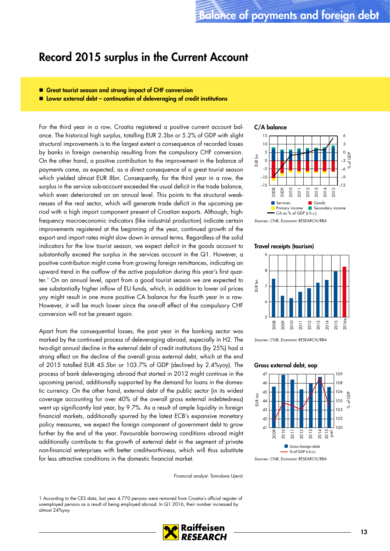### <span id="page-12-0"></span>Record 2015 surplus in the Current Account

- Great tourist season and strong impact of CHF conversion
- $\blacksquare$  Lower external debt continuation of deleveraging of credit institutions

For the third year in a row, Croatia registered a positive current account balance. The historical high surplus, totalling EUR 2.3bn or 5.2% of GDP with slight structural improvements is to the largest extent a consequence of recorded losses by banks in foreign ownership resulting from the compulsory CHF conversion. On the other hand, a positive contribution to the improvement in the balance of payments came, as expected, as a direct consequence of a great tourist season which yielded almost EUR 8bn. Consequently, for the third year in a row, the surplus in the service sub-account exceeded the usual deficit in the trade balance, which even deteriorated on an annual level. This points to the structural weaknesses of the real sector, which will generate trade deficit in the upcoming period with a high import component present of Croatian exports. Although, highfrequency macroeconomic indicators (like industrial production) indicate certain improvements registered at the beginning of the year, continued growth of the export and import rates might slow down in annual terms. Regardless of the solid indicators for the low tourist season, we expect deficit in the goods account to substantially exceed the surplus in the services account in the Q1. However, a positive contribution might come from growing foreign remittances, indicating an upward trend in the outflow of the active population during this year's first quarter.1 On an annual level, apart from a good tourist season we are expected to see substantially higher inflow of EU funds, which, in addition to lower oil prices yoy might result in one more positive CA balance for the fourth year in a raw. However, it will be much lower since the one-off effect of the compulsory CHF conversion will not be present again.

Apart from the consequential losses, the past year in the banking sector was marked by the continued process of deleveraging abroad, especially in H2. The two-digit annual decline in the external debt of credit institutions (by 25%) had a strong effect on the decline of the overall gross external debt, which at the end of 2015 totalled EUR 45.5bn or 103.7% of GDP (declined by 2.4%yoy). The process of bank deleveraging abroad that started in 2012 might continue in the upcoming period, additionally supported by the demand for loans in the domestic currency. On the other hand, external debt of the public sector (in its widest coverage accounting for over 40% of the overall gross external indebtedness) went up significantly last year, by 9.7%. As a result of ample liquidity in foreign financial markets, additionally spurred by the latest ECB's expansive monetary policy measures, we expect the foreign component of government debt to grow further by the end of the year. Favourable borrowing conditions abroad might additionally contribute to the growth of external debt in the segment of private non-financial enterprises with better creditworthiness, which will thus substitute for less attractive conditions in the domestic financial market.

Financial analyst: Tomislava Ujević

1 According to the CES data, last year 4.770 persons were removed from Croatia's official register of unemployed persons as a result of being employed abroad. In Q1 2016, their number increased by almost 24%yoy.





Sources: CNB, Economic RESEARCH/RBA

### Travel receipts (tourism)



Sources: CNB, Economic RESEARCH/RBA

#### Gross external debt, eop



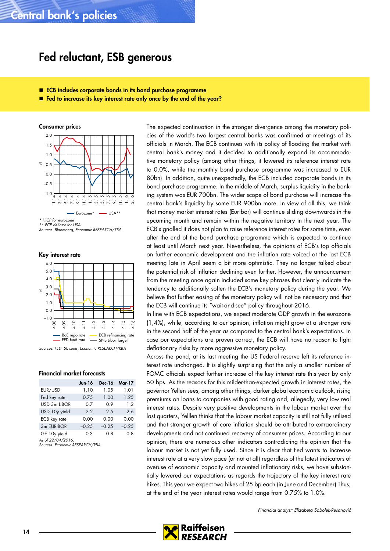### <span id="page-13-0"></span>Fed reluctant, ESB generous

- ECB includes corporate bonds in its bond purchase programme
- Fed to increase its key interest rate only once by the end of the year?

Consumer prices % 0.5  $-1.0$ –0.5 0.0 1.0 1.5 2.0  $\Xi$  $\sim$ 5.14 7.14  $\overline{\circ}$ 11.14 1.15 3.15 5.15 7.15 9.15 11.15  $\circ$  $\overline{\mathcal{L}}$  $Eurozone* = USA$ 

\* HICP for eurozone \* PCE deflator for USA

Sources: Bloomberg, Economic RESEARCH/RBA

Key interest rate



Sources: FED St. Louis, Economic RESEARCH/RBA

### Financial market forecasts

|                             | Jun 16  | Dec-16  | <b>Mar-17</b> |
|-----------------------------|---------|---------|---------------|
| EUR/USD                     | 1.10    | 1.05    | 1.01          |
| Fed key rate                | 0.75    | 1.00    | 1.25          |
| USD 3m LIBOR                | 0.7     | 0.9     | 1.2           |
| USD 10y yield               | 2.2     | 2.5     | 2.6           |
| ECB key rate                | 0.00    | 0.00    | 0.00          |
| 3m EURIBOR                  | $-0.25$ | $-0.25$ | $-0.25$       |
| GE 10y yield<br>1.001010011 | 0.3     | 0.8     | 0.8           |

As of 22/04/2016. Sources: Economic RESEARCH/RBA

The expected continuation in the stronger divergence among the monetary policies of the world's two largest central banks was confirmed at meetings of its officials in March. The ECB continues with its policy of flooding the market with central bank's money and it decided to additionally expand its accommodative monetary policy (among other things, it lowered its reference interest rate to 0.0%, while the monthly bond purchase programme was increased to EUR 80bn). In addition, quite unexpectedly, the ECB included corporate bonds in its bond purchase programme. In the middle of March, surplus liquidity in the banking system was EUR 700bn. The wider scope of bond purchase will increase the central bank's liquidity by some EUR 900bn more. In view of all this, we think that money market interest rates (Euribor) will continue sliding downwards in the upcoming month and remain within the negative territory in the next year. The ECB signalled it does not plan to raise reference interest rates for some time, even after the end of the bond purchase programme which is expected to continue at least until March next year. Nevertheless, the opinions of ECB's top officials on further economic development and the inflation rate voiced at the last ECB meeting late in April seem a bit more optimistic. They no longer talked about the potential risk of inflation declining even further. However, the announcement from the meeting once again included some key phrases that clearly indicate the tendency to additionally soften the ECB's monetary policy during the year. We believe that further easing of the monetary policy will not be necessary and that the ECB will continue its "wait-and-see" policy throughout 2016.

In line with ECB expectations, we expect moderate GDP growth in the eurozone (1,4%), while, according to our opinion, inflation might grow at a stronger rate in the second half of the year as compared to the central bank's expectations. In case our expectations are proven correct, the ECB will have no reason to fight deflationary risks by more aggressive monetary policy.

Across the pond, at its last meeting the US Federal reserve left its reference interest rate unchanged. It is slightly surprising that the only a smaller number of FOMC officials expect further increase of the key interest rate this year by only 50 bps. As the reasons for this milder-than-expected growth in interest rates, the governor Yellen sees, among other things, darker global economic outlook, rising premiums on loans to companies with good rating and, allegedly, very low real interest rates. Despite very positive developments in the labour market over the last quarters, Yelllen thinks that the labour market capacity is still not fully utilised and that stronger growth of core inflation should be attributed to extraordinary developments and not continued recovery of consumer prices. According to our opinion, there are numerous other indicators contradicting the opinion that the labour market is not yet fully used. Since it is clear that Fed wants to increase interest rate at a very slow pace (or not at all) regardless of the latest indicators of overuse of economic capacity and mounted inflationary risks, we have substantially lowered our expectations as regards the trajectory of the key interest rate hikes. This year we expect two hikes of 25 bp each (in June and December) Thus, at the end of the year interest rates would range from 0.75% to 1.0%.

Financial analyst: Elizabeta Sabolek-Resanović

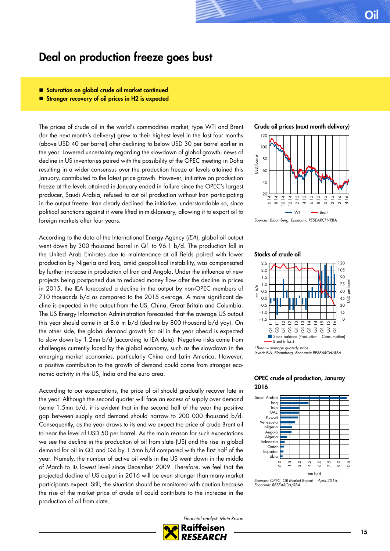### <span id="page-14-0"></span>Deal on production freeze goes bust

### Saturation on global crude oil market continued

■ Stronger recovery of oil prices in H2 is expected

The prices of crude oil in the world's commodities market, type WTI and Brent (for the next month's delivery) grew to their highest level in the last four months (above USD 40 per barrel) after declining to below USD 30 per barrel earlier in the year. Lowered uncertainty regarding the slowdown of global growth, news of decline in US inventories paired with the possibility of the OPEC meeting in Doha resulting in a wider consensus over the production freeze at levels attained this January, contributed to the latest price growth. However, initiative on production freeze at the levels attained in January ended in failure since the OPEC's largest producer, Saudi Arabia, refused to cut oil production without Iran participating in the output freeze. Iran clearly declined the initiative, understandable so, since political sanctions against it were lifted in mid-January, allowing it to export oil to foreign markets after four years.

According to the data of the International Energy Agency (IEA), global oil output went down by 300 thousand barrel in Q1 to 96.1 b/d. The production fall in the United Arab Emirates due to maintenance at oil fields paired with lower production by Nigeria and Iraq, amid geopolitical instability, was compensated by further increase in production of Iran and Angola. Under the influence of new projects being postponed due to reduced money flow after the decline in prices in 2015, the IEA forecasted a decline in the output by non-OPEC members of 710 thousands b/d as compared to the 2015 average. A more significant decline is expected in the output from the US, China, Great Britain and Columbia. The US Energy Information Administration forecasted that the average US output this year should come in at 8.6 m b/d (decline by 800 thousand b/d yoy). On the other side, the global demand growth for oil in the year ahead is expected to slow down by 1.2mn b/d (according to IEA data). Negative risks come from challenges currently faced by the global economy, such as the slowdown in the emerging market economies, particularly China and Latin America. However, a positive contribution to the growth of demand could come from stronger economic activity in the US, India and the euro area.

According to our expectations, the price of oil should gradually recover late in the year. Although the second quarter will face an excess of supply over demand (some 1.5mn b/d, it is evident that in the second half of the year the positive gap between supply and demand should narrow to 200 000 thousand b/d. Consequently, as the year draws to its end we expect the price of crude Brent oil to near the level of USD 50 per barrel. As the main reason for such expectations we see the decline in the production of oil from slate (US) and the rise in global demand for oil in Q3 and Q4 by 1.5mn b/d compared with the first half of the year. Namely, the number of active oil wells in the US went down in the middle of March to its lowest level since December 2009. Therefore, we feel that the projected decline of US output in 2016 will be even stronger than many market participants expect. Still, the situation should be monitored with caution because the rise of the market price of crude oil could contribute to the increase in the production of oil from slate.





### Stocks of crude oil



### OPEC crude oil production, Januray 2016



Sources: OPEC, Oil Market Report – April 2016, Economic RESEARCH/RBA

Financial analyst: Mate Rosan

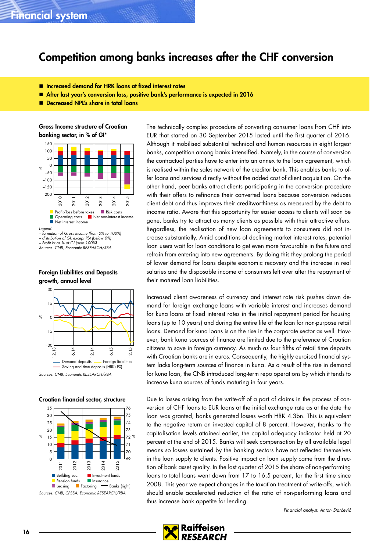### <span id="page-15-0"></span>Competition among banks increases after the CHF conversion

- Increased demand for HRK loans at fixed interest rates
- After last year's conversion loss, positive bank's performance is expected in 2016
- Decreased NPL's share in total loans

Gross Income structure of Croatian banking sector, in % of GI\*



– distribution of GI, except Pbt (below 0%) – Profit bt as % of GI (over 100%) Sources: CNB, Economic RESEARCH/RBA

Foreign Liabilities and Deposits



Sources: CNB, Economic RESEARCH/RBA

### Croatian financial sector, structure



The technically complex procedure of converting consumer loans from CHF into EUR that started on 30 September 2015 lasted until the first quarter of 2016. Although it mobilised substantial technical and human resources in eight largest banks, competition among banks intensified. Namely, in the course of conversion the contractual parties have to enter into an annex to the loan agreement, which is realised within the sales network of the creditor bank. This enables banks to offer loans and services directly without the added cost of client acquisition. On the other hand, peer banks attract clients participating in the conversion procedure with their offers to refinance their converted loans because conversion reduces client debt and thus improves their creditworthiness as measured by the debt to income ratio. Aware that this opportunity for easier access to clients will soon be gone, banks try to attract as many clients as possible with their attractive offers. Regardless, the realisation of new loan agreements to consumers did not increase substantially. Amid conditions of declining market interest rates, potential loan users wait for loan conditions to get even more favourable in the future and refrain from entering into new agreements. By doing this they prolong the period of lower demand for loans despite economic recovery and the increase in real salaries and the disposable income of consumers left over after the repayment of their matured loan liabilities.

Increased client awareness of currency and interest rate risk pushes down demand for foreign exchange loans with variable interest and increases demand for kuna loans at fixed interest rates in the initial repayment period for housing loans (up to 10 years) and during the entire life of the loan for non-purpose retail loans. Demand for kuna loans is on the rise in the corporate sector as well. However, bank kuna sources of finance are limited due to the preference of Croatian citizens to save in foreign currency. As much as four fifths of retail time deposits with Croatian banks are in euros. Consequently, the highly euroised financial system lacks long-term sources of finance in kuna. As a result of the rise in demand for kuna loan, the CNB introduced long-term repo operations by which it tends to increase kuna sources of funds maturing in four years.

Due to losses arising from the write-off of a part of claims in the process of conversion of CHF loans to EUR loans at the initial exchange rate as at the date the loan was granted, banks generated losses worth HRK 4.3bn. This is equivalent to the negative return on invested capital of 8 percent. However, thanks to the capitalisation levels attained earlier, the capital adequacy indicator held at 20 percent at the end of 2015. Banks will seek compensation by all available legal means so losses sustained by the banking sectors have not reflected themselves in the loan supply to clients. Positive impact on loan supply came from the direction of bank asset quality. In the last quarter of 2015 the share of non-performing loans to total loans went down from 17 to 16.5 percent, for the first time since 2008. This year we expect changes in the taxation treatment of write-offs, which should enable accelerated reduction of the ratio of non-performing loans and thus increase bank appetite for lending.

Financial analyst: Anton Starčević

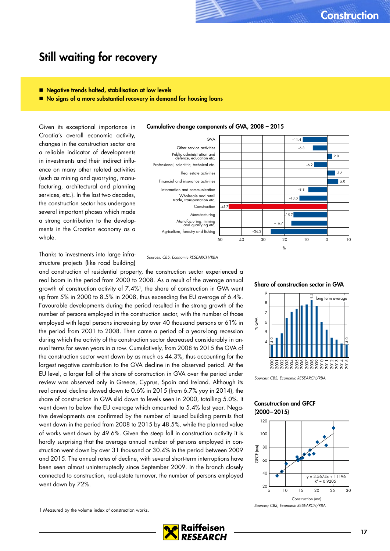### <span id="page-16-0"></span>Still waiting for recovery

- **Negative trends halted, stabilisation at low levels**
- No signs of a more substantial recovery in demand for housing loans

Given its exceptional importance in Croatia's overall economic activity, changes in the construction sector are a reliable indicator of developments in investments and their indirect influence on many other related activities (such as mining and quarrying, manufacturing, architectural and planning services, etc.). In the last two decades, the construction sector has undergone several important phases which made a strong contribution to the developments in the Croatian economy as a whole.

Thanks to investments into large infrastructure projects (like road building)

and construction of residential property, the construction sector experienced a real boom in the period from 2000 to 2008. As a result of the average annual growth of construction activity of 7.4%<sup>1</sup>, the share of construction in GVA went up from 5% in 2000 to 8.5% in 2008, thus exceeding the EU average of 6.4%. Favourable developments during the period resulted in the strong growth of the number of persons employed in the construction sector, with the number of those employed with legal persons increasing by over 40 thousand persons or 61% in the period from 2001 to 2008. Then came a period of a years-long recession during which the activity of the construction sector decreased considerably in annual terms for seven years in a row. Cumulatively, from 2008 to 2015 the GVA of the construction sector went down by as much as 44.3%, thus accounting for the largest negative contribution to the GVA decline in the observed period. At the EU level, a larger fall of the share of construction in GVA over the period under review was observed only in Greece, Cyprus, Spain and Ireland. Although its real annual decline slowed down to 0.6% in 2015 (from 6.7% yoy in 2014), the share of construction in GVA slid down to levels seen in 2000, totalling 5.0%. It went down to below the EU average which amounted to 5.4% last year. Negative developments are confirmed by the number of issued building permits that went down in the period from 2008 to 2015 by 48.5%, while the planned value of works went down by 49.6%. Given the steep fall in construction activity it is hardly surprising that the average annual number of persons employed in construction went down by over 31 thousand or 30.4% in the period between 2009 and 2015. The annual rates of decline, with several short-term interruptions have been seen almost uninterruptedly since September 2009. In the branch closely connected to construction, real-estate turnover, the number of persons employed went down by 72%.

1 Measured by the volume index of construction works.





RFSFARCH





Sources; CBS, Economic RESEARCH/RBA

### Consutruction and GFCF (2000–2015)

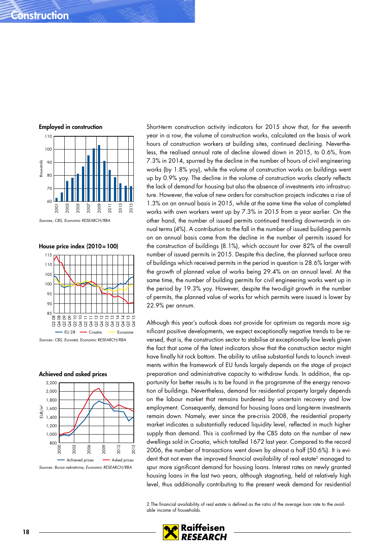### **Construction**





Sources; CBS, Economic RESEARCH/RBA

House price index (2010=100)



Sources: CBS, Eurostat, Economic RESEARCH/RBA

#### Achieved and asked prices



Sources: Burza nekretnina, Economic RESEARCH/RBA

Short-term construction activity indicators for 2015 show that, for the seventh year in a row, the volume of construction works, calculated on the basis of work hours of construction workers at building sites, continued declining. Nevertheless, the realised annual rate of decline slowed down in 2015, to 0.6%, from 7.3% in 2014, spurred by the decline in the number of hours of civil engineering works (by 1.8% yoy), while the volume of construction works on buildings went up by 0.9% yoy. The decline in the volume of construction works clearly reflects the lack of demand for housing but also the absence of investments into infrastructure. However, the value of new orders for construction projects indicates a rise of 1.3% on an annual basis in 2015, while at the same time the value of completed works with own workers went up by 7.3% in 2015 from a year earlier. On the other hand, the number of issued permits continued trending downwards in annual terms (4%). A contribution to the fall in the number of issued building permits on an annual basis came from the decline in the number of permits issued for the construction of buildings (8.1%), which account for over 82% of the overall number of issued permits in 2015. Despite this decline, the planned surface area of buildings which received permits in the period in question is 28.6% larger with the growth of planned value of works being 29.4% on an annual level. At the same time, the number of building permits for civil engineering works went up in the period by 19.3% yoy. However, despite the two-digit growth in the number of permits, the planned value of works for which permits were issued is lower by 22.9% per annum.

Although this year's outlook does not provide for optimism as regards more significant positive developments, we expect exceptionally negative trends to be reversed, that is, the construction sector to stabilise at exceptionally low levels given the fact that some of the latest indicators show that the construction sector might have finally hit rock bottom. The ability to utilise substantial funds to launch investments within the framework of EU funds largely depends on the stage of project preparation and administrative capacity to withdraw funds. In addition, the opportunity for better results is to be found in the programme of the energy renovation of buildings. Nevertheless, demand for residential property largely depends on the labour market that remains burdened by uncertain recovery and low employment. Consequently, demand for housing loans and long-term investments remain down. Namely, ever since the pre-crisis 2008, the residential property market indicates a substantially reduced liquidity level, reflected in much higher supply than demand. This is confirmed by the CBS data on the number of new dwellings sold in Croatia, which totalled 1672 last year. Compared to the record 2006, the number of transactions went down by almost a half (50.6%). It is evident that not even the improved financial availability of real estate<sup>2</sup> managed to spur more significant demand for housing loans. Interest rates on newly granted housing loans in the last two years, although stagnating, held at relatively high level, thus additionally contributing to the present weak demand for residential

2 The financial availability of real estate is defined as the ratio of the average loan rate to the available income of households.

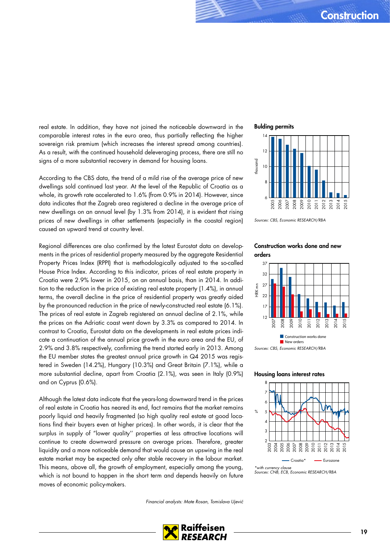real estate. In addition, they have not joined the noticeable downward in the comparable interest rates in the euro area, thus partially reflecting the higher sovereign risk premium (which increases the interest spread among countries). As a result, with the continued household deleveraging process, there are still no signs of a more substantial recovery in demand for housing loans.

According to the CBS data, the trend of a mild rise of the average price of new dwellings sold continued last year. At the level of the Republic of Croatia as a whole, its growth rate accelerated to 1.6% (from 0.9% in 2014). However, since data indicates that the Zagreb area registered a decline in the average price of new dwellings on an annual level (by 1.3% from 2014), it is evident that rising prices of new dwellings in other settlements (especially in the coastal region) caused an upward trend at country level.

Regional differences are also confirmed by the latest Eurostat data on developments in the prices of residential property measured by the aggregate Residential Property Prices Index (RPPI) that is methodologically adjusted to the so-called House Price Index. According to this indicator, prices of real estate property in Croatia were 2.9% lower in 2015, on an annual basis, than in 2014. In addition to the reduction in the price of existing real estate property (1.4%), in annual terms, the overall decline in the price of residential property was greatly aided by the pronounced reduction in the price of newly-constructed real estate (6.1%). The prices of real estate in Zagreb registered an annual decline of 2.1%, while the prices on the Adriatic coast went down by 3.3% as compared to 2014. In contrast to Croatia, Eurostat data on the developments in real estate prices indicate a continuation of the annual price growth in the euro area and the EU, of 2.9% and 3.8% respectively, confirming the trend started early in 2013. Among the EU member states the greatest annual price growth in Q4 2015 was registered in Sweden (14.2%), Hungary (10.3%) and Great Britain (7.1%), while a more substantial decline, apart from Croatia (2.1%), was seen in Italy (0.9%) and on Cyprus (0.6%).

Although the latest data indicate that the years-long downward trend in the prices of real estate in Croatia has neared its end, fact remains that the market remains poorly liquid and heavily fragmented (so high quality real estate at good locations find their buyers even at higher prices). In other words, it is clear that the surplus in supply of "lower quality'' properties at less attractive locations will continue to create downward pressure on average prices. Therefore, greater liquidity and a more noticeable demand that would cause an upswing in the real estate market may be expected only after stable recovery in the labour market. This means, above all, the growth of employment, especially among the young, which is not bound to happen in the short term and depends heavily on future moves of economic policy-makers.

Financial analysts: Mate Rosan, Tomislava Ujević





Sources: CBS, Economic RESEARCH/RBA

### Construction works done and new orders



### Housing loans interest rates



<sup>\*</sup>with currency clause Sources: CNB, ECB, Economic RESEARCH/RBA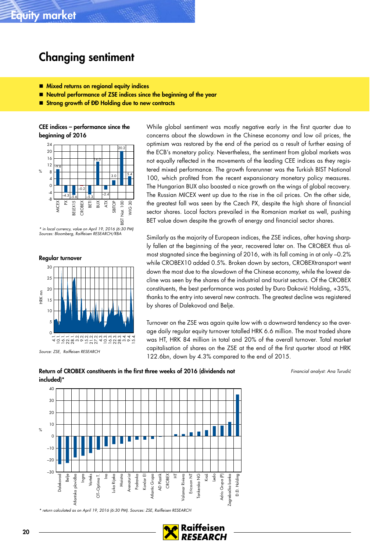# <span id="page-19-0"></span>Changing sentiment

- **Mixed returns on regional equity indices**
- Neutral performance of ZSE indices since the beginning of the year
- Strong growth of ĐĐ Holding due to new contracts

CEE indices – performance since the beginning of 2016



\* in local currency, value on April 19, 2016 (6:30 PM) Sources: Bloomberg, Raiffeisen RESEARCH/RBA

Regular turnover



Source: ZSE, Raiffeisen RESEARCH

While global sentiment was mostly negative early in the first quarter due to concerns about the slowdown in the Chinese economy and low oil prices, the optimism was restored by the end of the period as a result of further easing of the ECB's monetary policy. Nevertheless, the sentiment from global markets was not equally reflected in the movements of the leading CEE indices as they registered mixed performance. The growth forerunner was the Turkish BIST National 100, which profited from the recent expansionary monetary policy measures. The Hungarian BUX also boasted a nice growth on the wings of global recovery. The Russian MICEX went up due to the rise in the oil prices. On the other side, the greatest fall was seen by the Czech PX, despite the high share of financial sector shares. Local factors prevailed in the Romanian market as well, pushing BET value down despite the growth of energy and financial sector shares.

Similarly as the majority of European indices, the ZSE indices, after having sharply fallen at the beginning of the year, recovered later on. The CROBEX thus almost stagnated since the beginning of 2016, with its fall coming in at only –0.2% while CROBEX10 added 0.5%. Broken down by sectors, CROBEXtransport went down the most due to the slowdown of the Chinese economy, while the lowest decline was seen by the shares of the industrial and tourist sectors. Of the CROBEX constituents, the best performance was posted by Đuro Đaković Holding, +35%, thanks to the entry into several new contracts. The greatest decline was registered by shares of Dalekovod and Belje.

Turnover on the ZSE was again quite low with a downward tendency so the average daily regular equity turnover totalled HRK 6.6 million. The most traded share was HT, HRK 84 million in total and 20% of the overall turnover. Total market capitalisation of shares on the ZSE at the end of the first quarter stood at HRK 122.6bn, down by 4.3% compared to the end of 2015.

Return of CROBEX constituents in the first three weeks of 2016 (dividends not included)\*

Financial analyst: Ana Turudić



\* return calculated as on April 19, 2016 (6:30 PM). Sources: ZSE, Raiffeisen RESEARCH

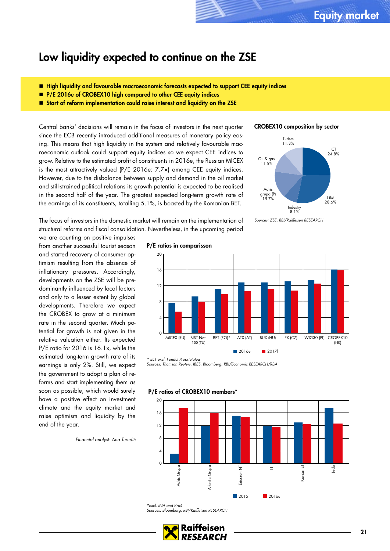### <span id="page-20-0"></span>Low liquidity expected to continue on the ZSE

- High liquidity and favourable macroeconomic forecasts expected to support CEE equity indices
- **P/E 2016e of CROBEX10 high compared to other CEE equity indices**
- Start of reform implementation could raise interest and liquidity on the ZSE

Central banks' decisions will remain in the focus of investors in the next quarter since the ECB recently introduced additional measures of monetary policy easing. This means that high liquidity in the system and relatively favourable macroeconomic outlook could support equity indices so we expect CEE indices to grow. Relative to the estimated profit of constituents in 2016e, the Russian MICEX is the most attractively valued (P/E 2016e: 7.7×) among CEE equity indices. However, due to the disbalance between supply and demand in the oil market and still-strained political relations its growth potential is expected to be realised in the second half of the year. The greatest expected long-term growth rate of the earnings of its constituents, totalling 5.1%, is boasted by the Romanian BET.

### CROBEX10 composition by sector



The focus of investors in the domestic market will remain on the implementation of structural reforms and fiscal consolidation. Nevertheless, in the upcoming period

we are counting on positive impulses from another successful tourist season and started recovery of consumer optimism resulting from the absence of inflationary pressures. Accordingly, developments on the ZSE will be predominantly influenced by local factors and only to a lesser extent by global developments. Therefore we expect the CROBEX to grow at a minimum rate in the second quarter. Much potential for growth is not given in the relative valuation either. Its expected P/E ratio for 2016 is 16.1x, while the estimated long-term growth rate of its earnings is only 2%. Still, we expect the government to adopt a plan of reforms and start implementing them as soon as possible, which would surely have a positive effect on investment climate and the equity market and raise optimism and liquidity by the end of the year.

Financial analyst: Ana Turudić

#### P/E ratios in comparisson



\* BET excl. Fondul Proprietatea Sources: Thomson Reuters, IBES, Bloomberg, RBI/Economic RESEARCH/RBA



P/E ratios of CROBEX10 members\*

\*excl. INA and Kraš Sources: Bloomberg, RBI/Raiffeisen RESEARCH